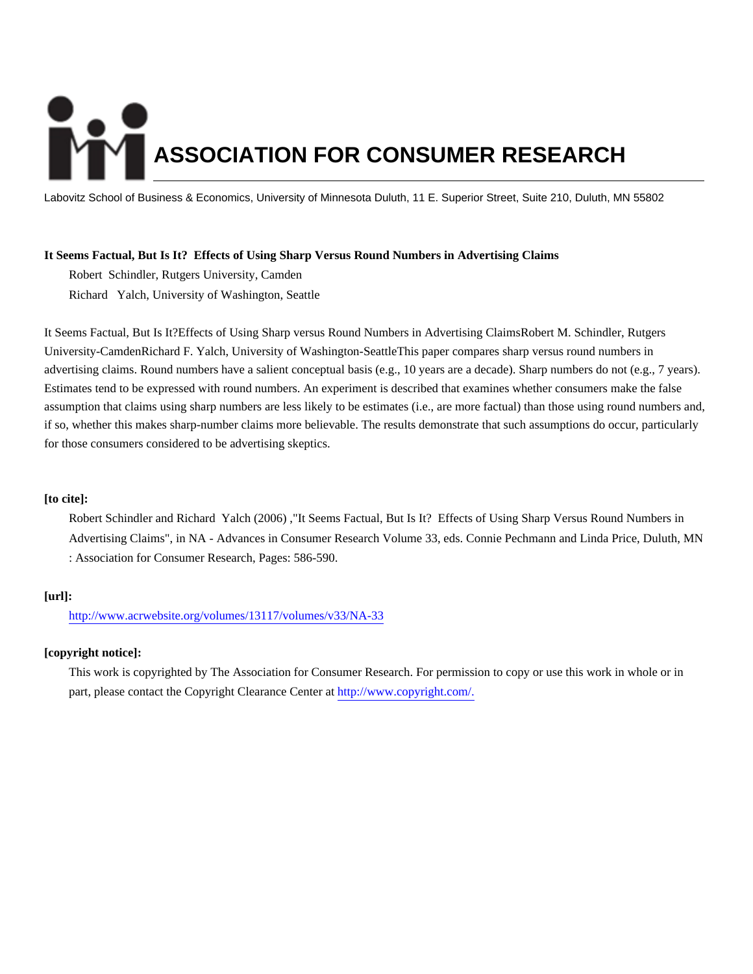# **ASSOCIATION FOR CONSUMER RESEARCH**

Labovitz School of Business & Economics, University of Minnesota Duluth, 11 E. Superior Street, Suite 210, Duluth, MN 55802

# **It Seems Factual, But Is It? Effects of Using Sharp Versus Round Numbers in Advertising Claims**

Robert Schindler, Rutgers University, Camden Richard Yalch, University of Washington, Seattle

It Seems Factual, But Is It?Effects of Using Sharp versus Round Numbers in Advertising ClaimsRobert M. Schindler, Rutgers University-CamdenRichard F. Yalch, University of Washington-SeattleThis paper compares sharp versus round numbers in advertising claims. Round numbers have a salient conceptual basis (e.g., 10 years are a decade). Sharp numbers do not (e.g., 7 years). Estimates tend to be expressed with round numbers. An experiment is described that examines whether consumers make the false assumption that claims using sharp numbers are less likely to be estimates (i.e., are more factual) than those using round numbers and, if so, whether this makes sharp-number claims more believable. The results demonstrate that such assumptions do occur, particularly for those consumers considered to be advertising skeptics.

# **[to cite]:**

Robert Schindler and Richard Yalch (2006) ,"It Seems Factual, But Is It? Effects of Using Sharp Versus Round Numbers in Advertising Claims", in NA - Advances in Consumer Research Volume 33, eds. Connie Pechmann and Linda Price, Duluth, MN : Association for Consumer Research, Pages: 586-590.

# **[url]:**

<http://www.acrwebsite.org/volumes/13117/volumes/v33/NA-33>

# **[copyright notice]:**

This work is copyrighted by The Association for Consumer Research. For permission to copy or use this work in whole or in part, please contact the Copyright Clearance Center at [http://www.copyright.com/.](http://www.copyright.com/)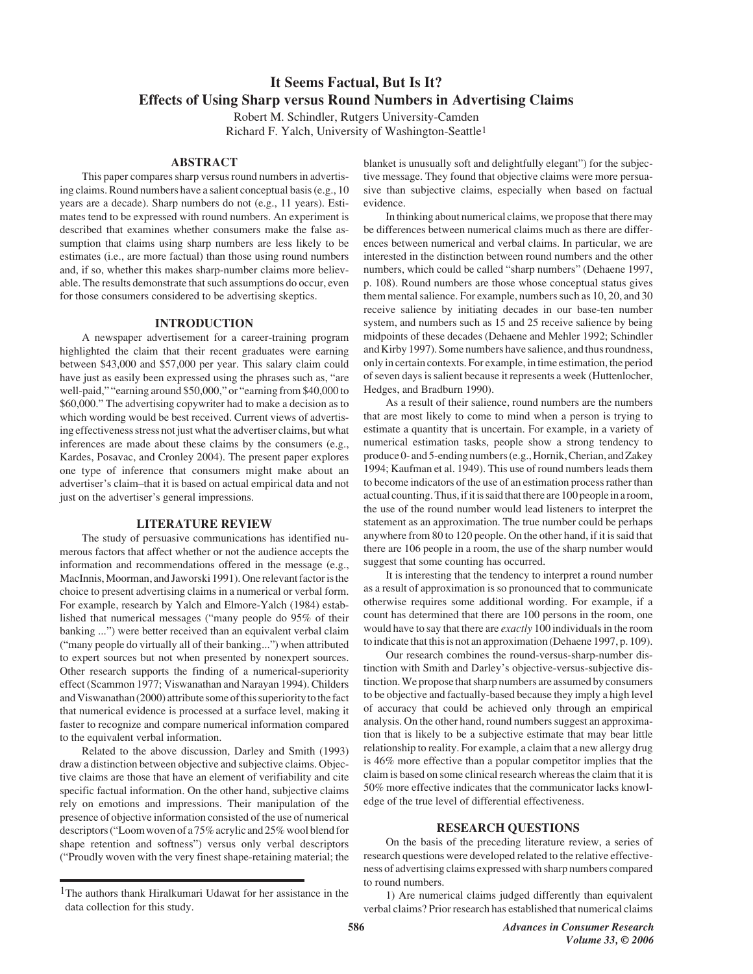# **It Seems Factual, But Is It? Effects of Using Sharp versus Round Numbers in Advertising Claims**

Robert M. Schindler, Rutgers University-Camden Richard F. Yalch, University of Washington-Seattle1

#### **ABSTRACT**

This paper compares sharp versus round numbers in advertising claims. Round numbers have a salient conceptual basis (e.g., 10 years are a decade). Sharp numbers do not (e.g., 11 years). Estimates tend to be expressed with round numbers. An experiment is described that examines whether consumers make the false assumption that claims using sharp numbers are less likely to be estimates (i.e., are more factual) than those using round numbers and, if so, whether this makes sharp-number claims more believable. The results demonstrate that such assumptions do occur, even for those consumers considered to be advertising skeptics.

# **INTRODUCTION**

A newspaper advertisement for a career-training program highlighted the claim that their recent graduates were earning between \$43,000 and \$57,000 per year. This salary claim could have just as easily been expressed using the phrases such as, "are well-paid," "earning around \$50,000," or "earning from \$40,000 to \$60,000." The advertising copywriter had to make a decision as to which wording would be best received. Current views of advertising effectiveness stress not just what the advertiser claims, but what inferences are made about these claims by the consumers (e.g., Kardes, Posavac, and Cronley 2004). The present paper explores one type of inference that consumers might make about an advertiser's claim–that it is based on actual empirical data and not just on the advertiser's general impressions.

#### **LITERATURE REVIEW**

The study of persuasive communications has identified numerous factors that affect whether or not the audience accepts the information and recommendations offered in the message (e.g., MacInnis, Moorman, and Jaworski 1991). One relevant factor is the choice to present advertising claims in a numerical or verbal form. For example, research by Yalch and Elmore-Yalch (1984) established that numerical messages ("many people do 95% of their banking ...") were better received than an equivalent verbal claim ("many people do virtually all of their banking...") when attributed to expert sources but not when presented by nonexpert sources. Other research supports the finding of a numerical-superiority effect (Scammon 1977; Viswanathan and Narayan 1994). Childers and Viswanathan (2000) attribute some of this superiority to the fact that numerical evidence is processed at a surface level, making it faster to recognize and compare numerical information compared to the equivalent verbal information.

Related to the above discussion, Darley and Smith (1993) draw a distinction between objective and subjective claims. Objective claims are those that have an element of verifiability and cite specific factual information. On the other hand, subjective claims rely on emotions and impressions. Their manipulation of the presence of objective information consisted of the use of numerical descriptors ("Loom woven of a 75% acrylic and 25% wool blend for shape retention and softness") versus only verbal descriptors ("Proudly woven with the very finest shape-retaining material; the blanket is unusually soft and delightfully elegant") for the subjective message. They found that objective claims were more persuasive than subjective claims, especially when based on factual evidence.

In thinking about numerical claims, we propose that there may be differences between numerical claims much as there are differences between numerical and verbal claims. In particular, we are interested in the distinction between round numbers and the other numbers, which could be called "sharp numbers" (Dehaene 1997, p. 108). Round numbers are those whose conceptual status gives them mental salience. For example, numbers such as 10, 20, and 30 receive salience by initiating decades in our base-ten number system, and numbers such as 15 and 25 receive salience by being midpoints of these decades (Dehaene and Mehler 1992; Schindler and Kirby 1997). Some numbers have salience, and thus roundness, only in certain contexts. For example, in time estimation, the period of seven days is salient because it represents a week (Huttenlocher, Hedges, and Bradburn 1990).

As a result of their salience, round numbers are the numbers that are most likely to come to mind when a person is trying to estimate a quantity that is uncertain. For example, in a variety of numerical estimation tasks, people show a strong tendency to produce 0- and 5-ending numbers (e.g., Hornik, Cherian, and Zakey 1994; Kaufman et al. 1949). This use of round numbers leads them to become indicators of the use of an estimation process rather than actual counting. Thus, if it is said that there are 100 people in a room, the use of the round number would lead listeners to interpret the statement as an approximation. The true number could be perhaps anywhere from 80 to 120 people. On the other hand, if it is said that there are 106 people in a room, the use of the sharp number would suggest that some counting has occurred.

It is interesting that the tendency to interpret a round number as a result of approximation is so pronounced that to communicate otherwise requires some additional wording. For example, if a count has determined that there are 100 persons in the room, one would have to say that there are *exactly* 100 individuals in the room to indicate that this is not an approximation (Dehaene 1997, p. 109).

Our research combines the round-versus-sharp-number distinction with Smith and Darley's objective-versus-subjective distinction. We propose that sharp numbers are assumed by consumers to be objective and factually-based because they imply a high level of accuracy that could be achieved only through an empirical analysis. On the other hand, round numbers suggest an approximation that is likely to be a subjective estimate that may bear little relationship to reality. For example, a claim that a new allergy drug is 46% more effective than a popular competitor implies that the claim is based on some clinical research whereas the claim that it is 50% more effective indicates that the communicator lacks knowledge of the true level of differential effectiveness.

# **RESEARCH QUESTIONS**

On the basis of the preceding literature review, a series of research questions were developed related to the relative effectiveness of advertising claims expressed with sharp numbers compared to round numbers.

1) Are numerical claims judged differently than equivalent verbal claims? Prior research has established that numerical claims

<sup>1</sup>The authors thank Hiralkumari Udawat for her assistance in the data collection for this study.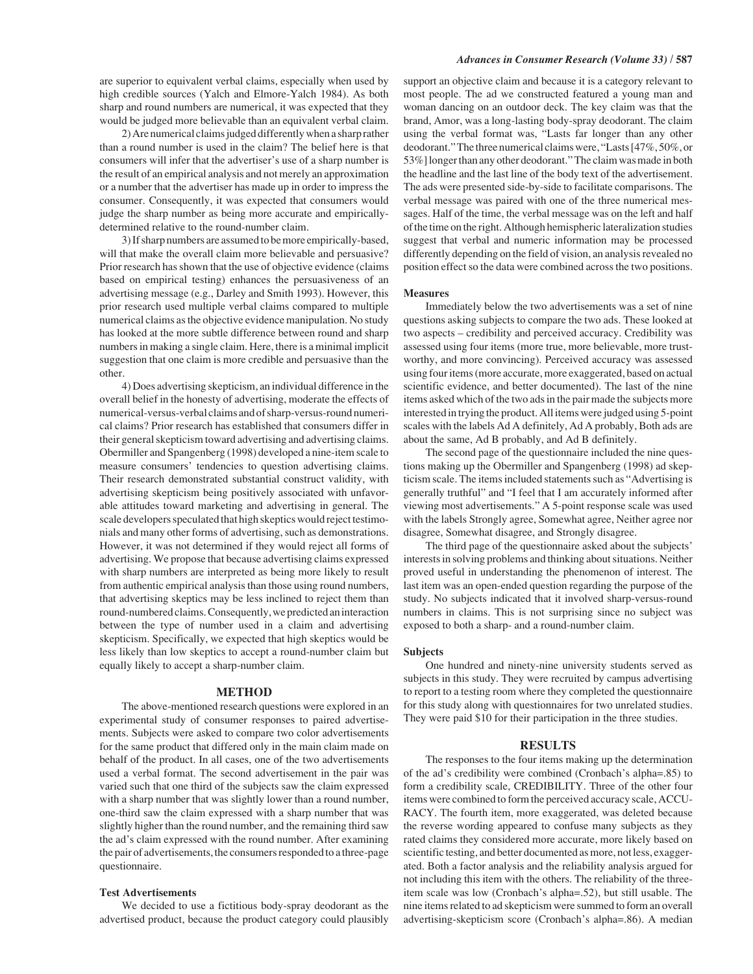are superior to equivalent verbal claims, especially when used by high credible sources (Yalch and Elmore-Yalch 1984). As both sharp and round numbers are numerical, it was expected that they would be judged more believable than an equivalent verbal claim.

2) Are numerical claims judged differently when a sharp rather than a round number is used in the claim? The belief here is that consumers will infer that the advertiser's use of a sharp number is the result of an empirical analysis and not merely an approximation or a number that the advertiser has made up in order to impress the consumer. Consequently, it was expected that consumers would judge the sharp number as being more accurate and empiricallydetermined relative to the round-number claim.

3) If sharp numbers are assumed to be more empirically-based, will that make the overall claim more believable and persuasive? Prior research has shown that the use of objective evidence (claims based on empirical testing) enhances the persuasiveness of an advertising message (e.g., Darley and Smith 1993). However, this prior research used multiple verbal claims compared to multiple numerical claims as the objective evidence manipulation. No study has looked at the more subtle difference between round and sharp numbers in making a single claim. Here, there is a minimal implicit suggestion that one claim is more credible and persuasive than the other.

4) Does advertising skepticism, an individual difference in the overall belief in the honesty of advertising, moderate the effects of numerical-versus-verbal claims and of sharp-versus-round numerical claims? Prior research has established that consumers differ in their general skepticism toward advertising and advertising claims. Obermiller and Spangenberg (1998) developed a nine-item scale to measure consumers' tendencies to question advertising claims. Their research demonstrated substantial construct validity, with advertising skepticism being positively associated with unfavorable attitudes toward marketing and advertising in general. The scale developers speculated that high skeptics would reject testimonials and many other forms of advertising, such as demonstrations. However, it was not determined if they would reject all forms of advertising. We propose that because advertising claims expressed with sharp numbers are interpreted as being more likely to result from authentic empirical analysis than those using round numbers, that advertising skeptics may be less inclined to reject them than round-numbered claims. Consequently, we predicted an interaction between the type of number used in a claim and advertising skepticism. Specifically, we expected that high skeptics would be less likely than low skeptics to accept a round-number claim but equally likely to accept a sharp-number claim.

#### **METHOD**

The above-mentioned research questions were explored in an experimental study of consumer responses to paired advertisements. Subjects were asked to compare two color advertisements for the same product that differed only in the main claim made on behalf of the product. In all cases, one of the two advertisements used a verbal format. The second advertisement in the pair was varied such that one third of the subjects saw the claim expressed with a sharp number that was slightly lower than a round number, one-third saw the claim expressed with a sharp number that was slightly higher than the round number, and the remaining third saw the ad's claim expressed with the round number. After examining the pair of advertisements, the consumers responded to a three-page questionnaire.

#### **Test Advertisements**

We decided to use a fictitious body-spray deodorant as the advertised product, because the product category could plausibly support an objective claim and because it is a category relevant to most people. The ad we constructed featured a young man and woman dancing on an outdoor deck. The key claim was that the brand, Amor, was a long-lasting body-spray deodorant. The claim using the verbal format was, "Lasts far longer than any other deodorant." The three numerical claims were, "Lasts [47%, 50%, or 53%] longer than any other deodorant." The claim was made in both the headline and the last line of the body text of the advertisement. The ads were presented side-by-side to facilitate comparisons. The verbal message was paired with one of the three numerical messages. Half of the time, the verbal message was on the left and half of the time on the right. Although hemispheric lateralization studies suggest that verbal and numeric information may be processed differently depending on the field of vision, an analysis revealed no position effect so the data were combined across the two positions.

#### **Measures**

Immediately below the two advertisements was a set of nine questions asking subjects to compare the two ads. These looked at two aspects – credibility and perceived accuracy. Credibility was assessed using four items (more true, more believable, more trustworthy, and more convincing). Perceived accuracy was assessed using four items (more accurate, more exaggerated, based on actual scientific evidence, and better documented). The last of the nine items asked which of the two ads in the pair made the subjects more interested in trying the product. All items were judged using 5-point scales with the labels Ad A definitely, Ad A probably, Both ads are about the same, Ad B probably, and Ad B definitely.

The second page of the questionnaire included the nine questions making up the Obermiller and Spangenberg (1998) ad skepticism scale. The items included statements such as "Advertising is generally truthful" and "I feel that I am accurately informed after viewing most advertisements." A 5-point response scale was used with the labels Strongly agree, Somewhat agree, Neither agree nor disagree, Somewhat disagree, and Strongly disagree.

The third page of the questionnaire asked about the subjects' interests in solving problems and thinking about situations. Neither proved useful in understanding the phenomenon of interest. The last item was an open-ended question regarding the purpose of the study. No subjects indicated that it involved sharp-versus-round numbers in claims. This is not surprising since no subject was exposed to both a sharp- and a round-number claim.

#### **Subjects**

One hundred and ninety-nine university students served as subjects in this study. They were recruited by campus advertising to report to a testing room where they completed the questionnaire for this study along with questionnaires for two unrelated studies. They were paid \$10 for their participation in the three studies.

#### **RESULTS**

The responses to the four items making up the determination of the ad's credibility were combined (Cronbach's alpha=.85) to form a credibility scale, CREDIBILITY. Three of the other four items were combined to form the perceived accuracy scale, ACCU-RACY. The fourth item, more exaggerated, was deleted because the reverse wording appeared to confuse many subjects as they rated claims they considered more accurate, more likely based on scientific testing, and better documented as more, not less, exaggerated. Both a factor analysis and the reliability analysis argued for not including this item with the others. The reliability of the threeitem scale was low (Cronbach's alpha=.52), but still usable. The nine items related to ad skepticism were summed to form an overall advertising-skepticism score (Cronbach's alpha=.86). A median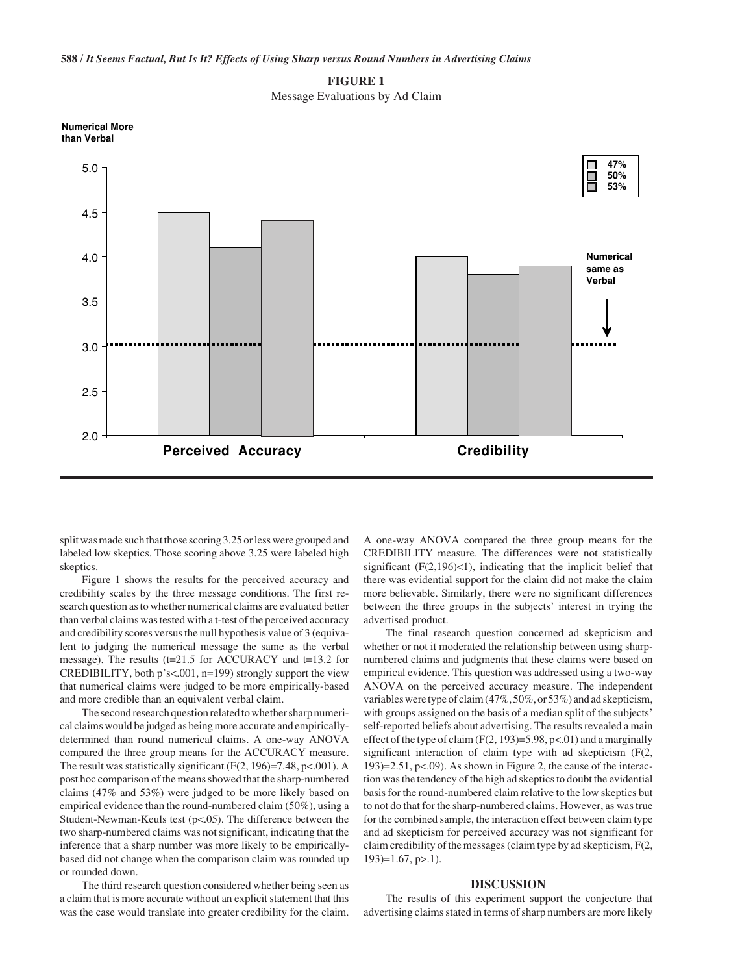**588 /** *It Seems Factual, But Is It? Effects of Using Sharp versus Round Numbers in Advertising Claims*



Message Evaluations by Ad Claim



split was made such that those scoring 3.25 or less were grouped and labeled low skeptics. Those scoring above 3.25 were labeled high skeptics.

Figure 1 shows the results for the perceived accuracy and credibility scales by the three message conditions. The first research question as to whether numerical claims are evaluated better than verbal claims was tested with a t-test of the perceived accuracy and credibility scores versus the null hypothesis value of 3 (equivalent to judging the numerical message the same as the verbal message). The results (t=21.5 for ACCURACY and t=13.2 for CREDIBILITY, both p's<.001, n=199) strongly support the view that numerical claims were judged to be more empirically-based and more credible than an equivalent verbal claim.

The second research question related to whether sharp numerical claims would be judged as being more accurate and empiricallydetermined than round numerical claims. A one-way ANOVA compared the three group means for the ACCURACY measure. The result was statistically significant  $(F(2, 196)=7.48, p<0.01)$ . A post hoc comparison of the means showed that the sharp-numbered claims (47% and 53%) were judged to be more likely based on empirical evidence than the round-numbered claim (50%), using a Student-Newman-Keuls test (p<.05). The difference between the two sharp-numbered claims was not significant, indicating that the inference that a sharp number was more likely to be empiricallybased did not change when the comparison claim was rounded up or rounded down.

The third research question considered whether being seen as a claim that is more accurate without an explicit statement that this was the case would translate into greater credibility for the claim. A one-way ANOVA compared the three group means for the CREDIBILITY measure. The differences were not statistically significant  $(F(2,196) < 1)$ , indicating that the implicit belief that there was evidential support for the claim did not make the claim more believable. Similarly, there were no significant differences between the three groups in the subjects' interest in trying the advertised product.

The final research question concerned ad skepticism and whether or not it moderated the relationship between using sharpnumbered claims and judgments that these claims were based on empirical evidence. This question was addressed using a two-way ANOVA on the perceived accuracy measure. The independent variables were type of claim (47%, 50%, or 53%) and ad skepticism, with groups assigned on the basis of a median split of the subjects' self-reported beliefs about advertising. The results revealed a main effect of the type of claim  $(F(2, 193)=5.98, p<0.1)$  and a marginally significant interaction of claim type with ad skepticism (F(2, 193 $=$ 2.51, p<.09). As shown in Figure 2, the cause of the interaction was the tendency of the high ad skeptics to doubt the evidential basis for the round-numbered claim relative to the low skeptics but to not do that for the sharp-numbered claims. However, as was true for the combined sample, the interaction effect between claim type and ad skepticism for perceived accuracy was not significant for claim credibility of the messages (claim type by ad skepticism, F(2,  $193$ =1.67, p>.1).

# **DISCUSSION**

The results of this experiment support the conjecture that advertising claims stated in terms of sharp numbers are more likely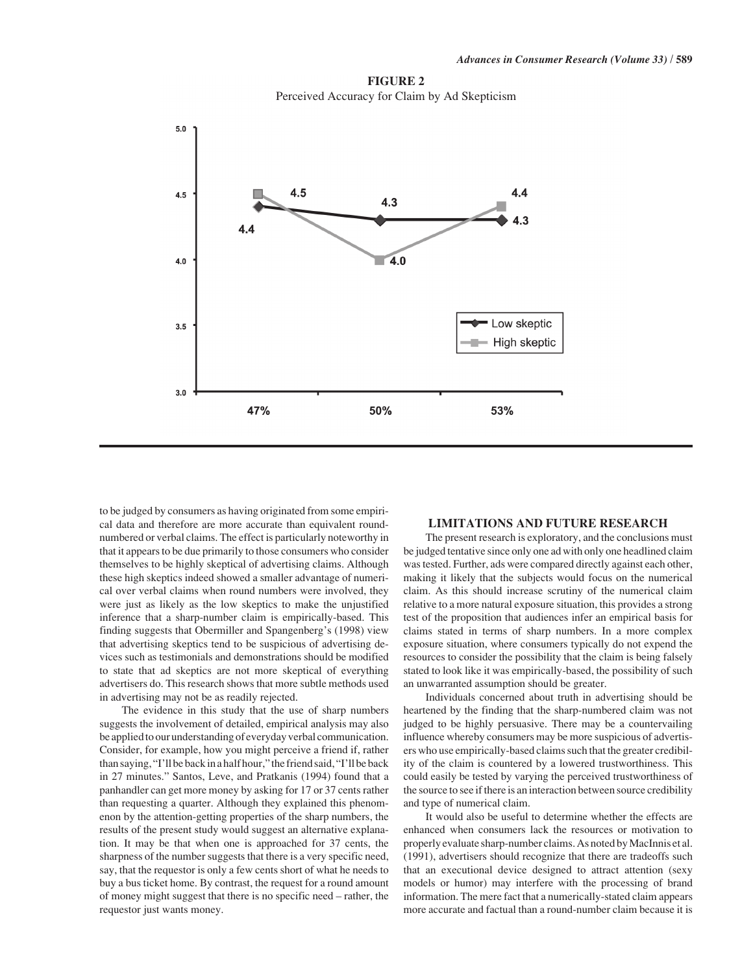



to be judged by consumers as having originated from some empirical data and therefore are more accurate than equivalent roundnumbered or verbal claims. The effect is particularly noteworthy in that it appears to be due primarily to those consumers who consider themselves to be highly skeptical of advertising claims. Although these high skeptics indeed showed a smaller advantage of numerical over verbal claims when round numbers were involved, they were just as likely as the low skeptics to make the unjustified inference that a sharp-number claim is empirically-based. This finding suggests that Obermiller and Spangenberg's (1998) view that advertising skeptics tend to be suspicious of advertising devices such as testimonials and demonstrations should be modified to state that ad skeptics are not more skeptical of everything advertisers do. This research shows that more subtle methods used in advertising may not be as readily rejected.

The evidence in this study that the use of sharp numbers suggests the involvement of detailed, empirical analysis may also be applied to our understanding of everyday verbal communication. Consider, for example, how you might perceive a friend if, rather than saying, "I'll be back in a half hour," the friend said, "I'll be back in 27 minutes." Santos, Leve, and Pratkanis (1994) found that a panhandler can get more money by asking for 17 or 37 cents rather than requesting a quarter. Although they explained this phenomenon by the attention-getting properties of the sharp numbers, the results of the present study would suggest an alternative explanation. It may be that when one is approached for 37 cents, the sharpness of the number suggests that there is a very specific need, say, that the requestor is only a few cents short of what he needs to buy a bus ticket home. By contrast, the request for a round amount of money might suggest that there is no specific need – rather, the requestor just wants money.

# **LIMITATIONS AND FUTURE RESEARCH**

The present research is exploratory, and the conclusions must be judged tentative since only one ad with only one headlined claim was tested. Further, ads were compared directly against each other, making it likely that the subjects would focus on the numerical claim. As this should increase scrutiny of the numerical claim relative to a more natural exposure situation, this provides a strong test of the proposition that audiences infer an empirical basis for claims stated in terms of sharp numbers. In a more complex exposure situation, where consumers typically do not expend the resources to consider the possibility that the claim is being falsely stated to look like it was empirically-based, the possibility of such an unwarranted assumption should be greater.

Individuals concerned about truth in advertising should be heartened by the finding that the sharp-numbered claim was not judged to be highly persuasive. There may be a countervailing influence whereby consumers may be more suspicious of advertisers who use empirically-based claims such that the greater credibility of the claim is countered by a lowered trustworthiness. This could easily be tested by varying the perceived trustworthiness of the source to see if there is an interaction between source credibility and type of numerical claim.

It would also be useful to determine whether the effects are enhanced when consumers lack the resources or motivation to properly evaluate sharp-number claims. As noted by MacInnis et al. (1991), advertisers should recognize that there are tradeoffs such that an executional device designed to attract attention (sexy models or humor) may interfere with the processing of brand information. The mere fact that a numerically-stated claim appears more accurate and factual than a round-number claim because it is